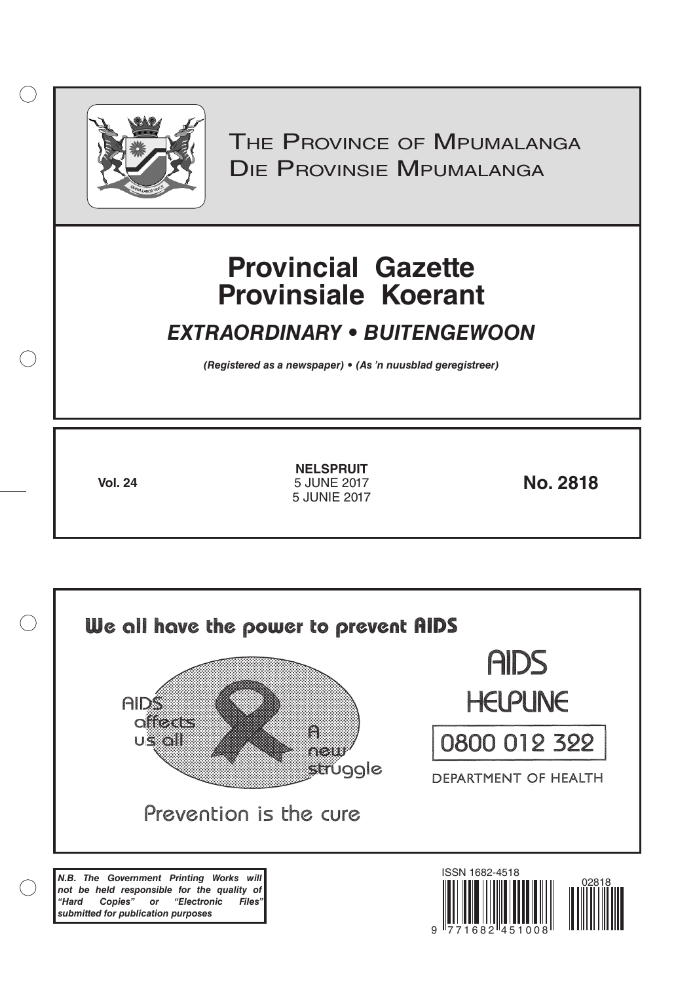

 $( )$ 

THE PROVINCE OF MPUMALANGA Die Provinsie Mpumalanga

# **Provincial Gazette Provinsiale Koerant**

## *EXTRAORDINARY • BUITENGEWOON*

*(Registered as a newspaper) • (As 'n nuusblad geregistreer)*

**Vol. 24 No. 2818 NELSPRUIT** 5 JUNE 2017 5 JUNIE 2017

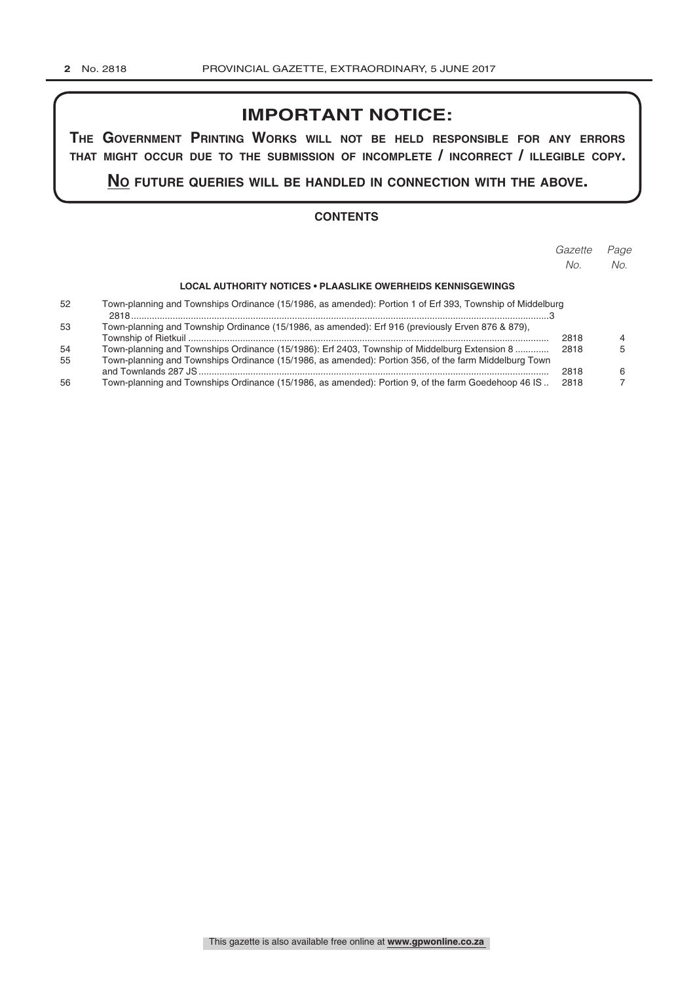## **IMPORTANT NOTICE:**

**The GovernmenT PrinTinG Works Will noT be held resPonsible for any errors ThaT miGhT occur due To The submission of incomPleTe / incorrecT / illeGible coPy.**

**no fuTure queries Will be handled in connecTion WiTh The above.**

#### **CONTENTS**

|    |                                                                                                           | Gazette<br>No. | Page<br>No. |
|----|-----------------------------------------------------------------------------------------------------------|----------------|-------------|
|    |                                                                                                           |                |             |
|    | LOCAL AUTHORITY NOTICES • PLAASLIKE OWERHEIDS KENNISGEWINGS                                               |                |             |
| 52 | Town-planning and Townships Ordinance (15/1986, as amended): Portion 1 of Erf 393, Township of Middelburg |                |             |
| 53 | Town-planning and Township Ordinance (15/1986, as amended): Erf 916 (previously Erven 876 & 879),         |                |             |
|    |                                                                                                           | 2818           |             |
| 54 | Town-planning and Townships Ordinance (15/1986): Erf 2403, Township of Middelburg Extension 8             | 2818           |             |
| 55 | Town-planning and Townships Ordinance (15/1986, as amended): Portion 356, of the farm Middelburg Town     |                |             |
|    |                                                                                                           | 2818           |             |
| 56 | Town-planning and Townships Ordinance (15/1986, as amended): Portion 9, of the farm Goedehoop 46 IS       | 2818           |             |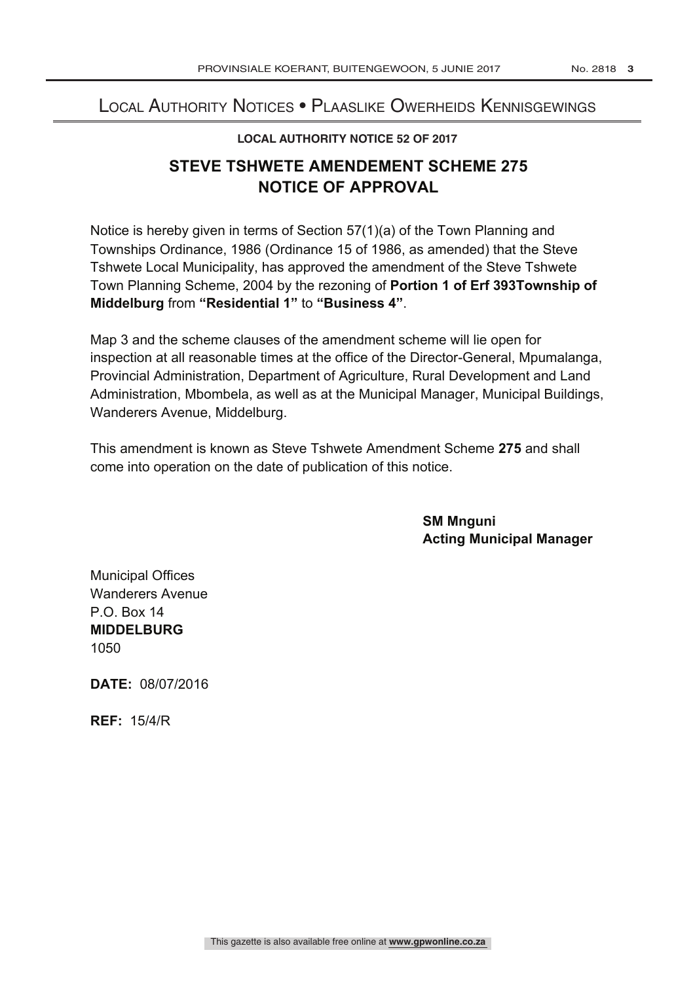### Local Authority Notices • Plaaslike Owerheids Kennisgewings

### **LOCAL AUTHORITY NOTICE 52 OF 2017**

## **STEVE TSHWETE AMENDEMENT SCHEME 275 NOTICE OF APPROVAL**

Notice is hereby given in terms of Section 57(1)(a) of the Town Planning and Townships Ordinance, 1986 (Ordinance 15 of 1986, as amended) that the Steve Tshwete Local Municipality, has approved the amendment of the Steve Tshwete Town Planning Scheme, 2004 by the rezoning of **Portion 1 of Erf 393Township of Middelburg** from **"Residential 1"** to **"Business 4"**.

Map 3 and the scheme clauses of the amendment scheme will lie open for inspection at all reasonable times at the office of the Director-General, Mpumalanga, Provincial Administration, Department of Agriculture, Rural Development and Land Administration, Mbombela, as well as at the Municipal Manager, Municipal Buildings, Wanderers Avenue, Middelburg.

This amendment is known as Steve Tshwete Amendment Scheme **275** and shall come into operation on the date of publication of this notice.

> **SM Mnguni Acting Municipal Manager**

Municipal Offices Wanderers Avenue  $P$  O. Box 14 **MIDDELBURG** 1050

**DATE:** 08/07/2016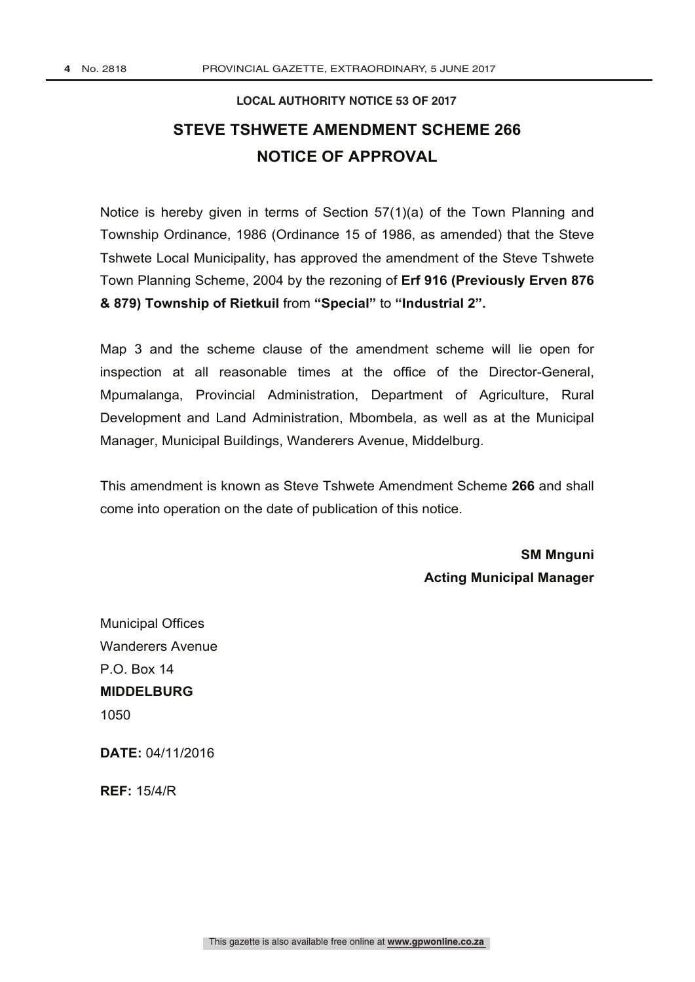## **LOCAL AUTHORITY NOTICE 53 OF 2017 STEVE TSHWETE AMENDMENT SCHEME 266 NOTICE OF APPROVAL**

Notice is hereby given in terms of Section 57(1)(a) of the Town Planning and Township Ordinance, 1986 (Ordinance 15 of 1986, as amended) that the Steve Tshwete Local Municipality, has approved the amendment of the Steve Tshwete Town Planning Scheme, 2004 by the rezoning of **Erf 916 (Previously Erven 876 & 879) Township of Rietkuil** from **"Special"** to **"Industrial 2".**

Map 3 and the scheme clause of the amendment scheme will lie open for inspection at all reasonable times at the office of the Director-General, Mpumalanga, Provincial Administration, Department of Agriculture, Rural Development and Land Administration, Mbombela, as well as at the Municipal Manager, Municipal Buildings, Wanderers Avenue, Middelburg.

This amendment is known as Steve Tshwete Amendment Scheme **266** and shall come into operation on the date of publication of this notice.

> **SM Mnguni Acting Municipal Manager**

Municipal Offices Wanderers Avenue  $P \cap \text{Box } 14$ **MIDDELBURG** 1050

**DATE:** 04/11/2016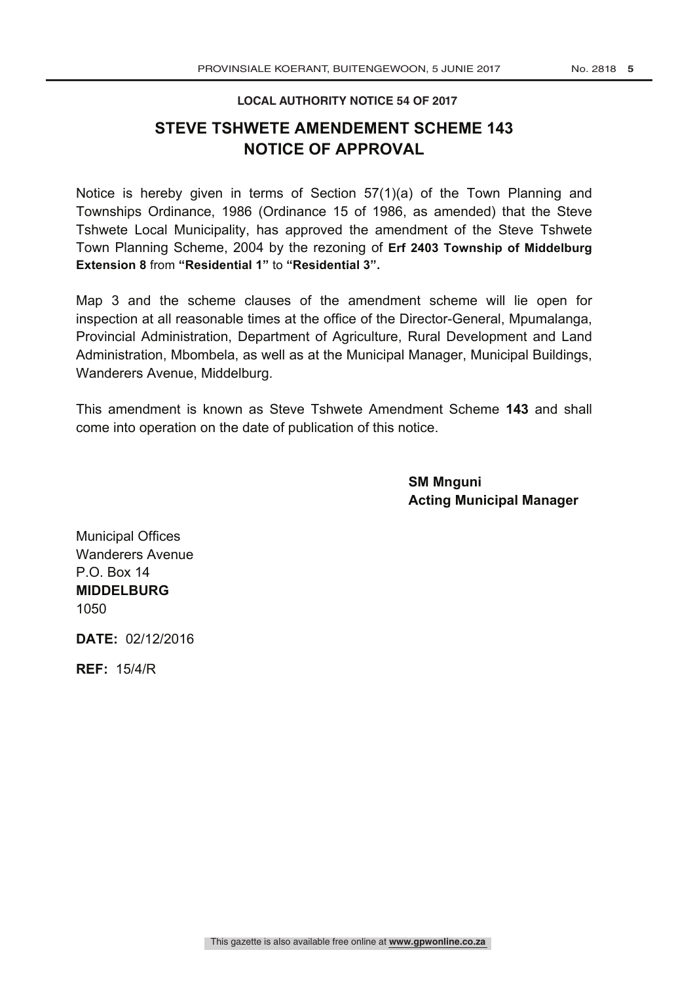### **LOCAL AUTHORITY NOTICE 54 OF 2017**

### **STEVE TSHWETE AMENDEMENT SCHEME 143 NOTICE OF APPROVAL**

Notice is hereby given in terms of Section 57(1)(a) of the Town Planning and Townships Ordinance, 1986 (Ordinance 15 of 1986, as amended) that the Steve Tshwete Local Municipality, has approved the amendment of the Steve Tshwete Town Planning Scheme, 2004 by the rezoning of **Erf 2403 Township of Middelburg Extension 8** from **"Residential 1"** to **"Residential 3".**

Map 3 and the scheme clauses of the amendment scheme will lie open for inspection at all reasonable times at the office of the Director-General, Mpumalanga, Provincial Administration, Department of Agriculture, Rural Development and Land Administration, Mbombela, as well as at the Municipal Manager, Municipal Buildings, Wanderers Avenue, Middelburg.

This amendment is known as Steve Tshwete Amendment Scheme **143** and shall come into operation on the date of publication of this notice.

> **SM Mnguni Acting Municipal Manager**

Municipal Offices Wanderers Avenue P.O. Box 14 **MIDDELBURG** 1050

**DATE:** 02/12/2016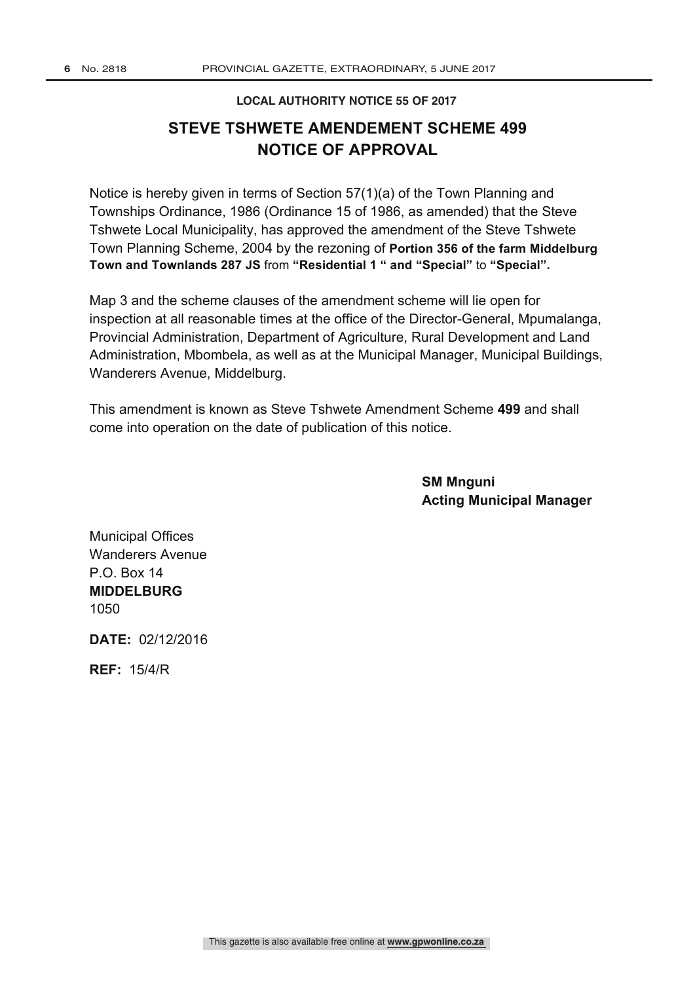#### **LOCAL AUTHORITY NOTICE 55 OF 2017**

## **STEVE TSHWETE AMENDEMENT SCHEME 499 NOTICE OF APPROVAL**

Notice is hereby given in terms of Section 57(1)(a) of the Town Planning and Townships Ordinance, 1986 (Ordinance 15 of 1986, as amended) that the Steve Tshwete Local Municipality, has approved the amendment of the Steve Tshwete Town Planning Scheme, 2004 by the rezoning of **Portion 356 of the farm Middelburg Town and Townlands 287 JS** from **"Residential 1 " and "Special"** to **"Special".**

Map 3 and the scheme clauses of the amendment scheme will lie open for inspection at all reasonable times at the office of the Director-General, Mpumalanga, Provincial Administration, Department of Agriculture, Rural Development and Land Administration, Mbombela, as well as at the Municipal Manager, Municipal Buildings, Wanderers Avenue, Middelburg.

This amendment is known as Steve Tshwete Amendment Scheme **499** and shall come into operation on the date of publication of this notice.

> **SM Mnguni Acting Municipal Manager**

Municipal Offices Wanderers Avenue P.O. Box 14 **MIDDELBURG** 1050

**DATE:** 02/12/2016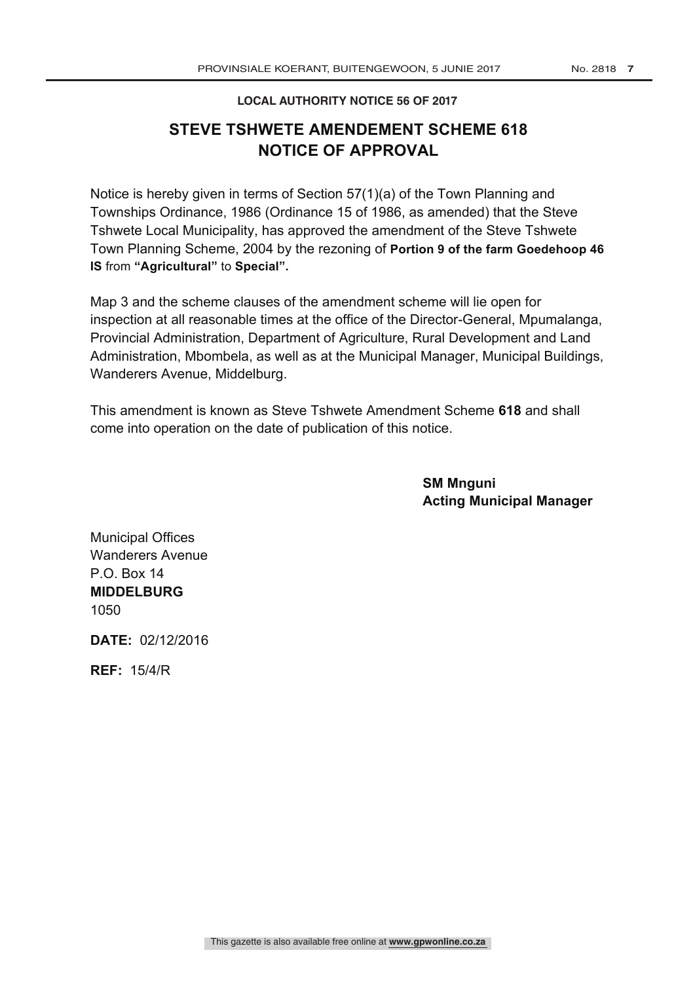### **LOCAL AUTHORITY NOTICE 56 OF 2017**

## **STEVE TSHWETE AMENDEMENT SCHEME 618 NOTICE OF APPROVAL**

Notice is hereby given in terms of Section 57(1)(a) of the Town Planning and Townships Ordinance, 1986 (Ordinance 15 of 1986, as amended) that the Steve Tshwete Local Municipality, has approved the amendment of the Steve Tshwete Town Planning Scheme, 2004 by the rezoning of **Portion 9 of the farm Goedehoop 46 IS** from **"Agricultural"** to **Special".**

Map 3 and the scheme clauses of the amendment scheme will lie open for inspection at all reasonable times at the office of the Director-General, Mpumalanga, Provincial Administration, Department of Agriculture, Rural Development and Land Administration, Mbombela, as well as at the Municipal Manager, Municipal Buildings, Wanderers Avenue, Middelburg.

This amendment is known as Steve Tshwete Amendment Scheme **618** and shall come into operation on the date of publication of this notice.

> **SM Mnguni Acting Municipal Manager**

Municipal Offices Wanderers Avenue  $P \cap \text{Box } 14$ **MIDDELBURG** 1050

**DATE:** 02/12/2016